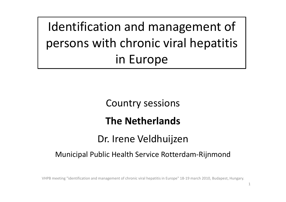Identification and management of persons with chronic viral hepatitis in Europe

Country sessions

#### The Netherlands

#### Dr. Irene Veldhuijzen

# Country sessions<br>
The Netherlands<br>
Dr. Irene Veldhuijzen<br>
Municipal Public Health Service Rotterdam-Rijnmond<br>
VHPB meeting "identification and management of chronic viral hepatitis in Europe" 18-19 march 2010, Budapest, Hu Municipal Public Health Service Rotterdam-Rijnmond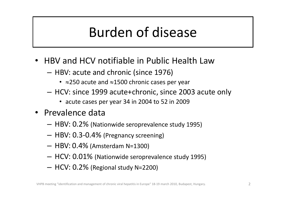# Burden of disease **Burden of disease**<br>
V and HCV notifiable in Public Health Law<br>
BV: acute and chronic (since 1976)<br>
•  $\approx$ 250 acute and  $\approx$ 1500 chronic cases per year<br>
CV: since 1999 acute+chronic, since 2003 acute only<br>
• acute cases pe

- HBV and HCV notifiable in Public Health Law
	- HBV: acute and chronic (since 1976)
		- $\approx$ 250 acute and  $\approx$ 1500 chronic cases per year
	- HCV: since 1999 acute+chronic, since 2003 acute only HBV: acute and chronic (since 1976)<br>  $\cdot$   $\approx$ 250 acute and  $\approx$ 1500 chronic cases per year<br>  $-$  HCV: since 1999 acute+chronic, since 2003 acute only<br>  $\cdot$  acute cases per year 34 in 2004 to 52 in 2009<br>  $\cdot$ Prevalence dat
		-
- Prevalence data
	- HBV: 0.2% (Nationwide seroprevalence study 1995)
	- HBV: 0.3-0.4% (Pregnancy screening)
	-
	-
	-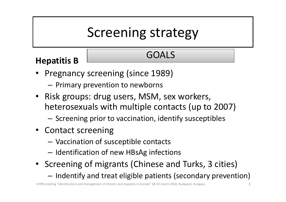# Screening strategy

# Hepatitis B GOALS

- Pregnancy screening (since 1989)
	- Primary prevention to newborns
- Risk groups: drug users, MSM, sex workers, heterosexuals with multiple contacts (up to 2007)
	- Screening prior to vaccination, identify susceptibles
- Contact screening
	- Vaccination of susceptible contacts
	- Identification of new HBsAg infections
- Screening of migrants (Chinese and Turks, 3 cities)
	- Indentify and treat eligible patients (secondary prevention)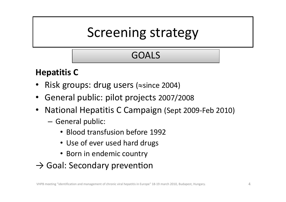# Screening strategy

#### GOALS

#### Hepatitis C

- Risk groups: drug users ( $\approx$ since 2004)
- General public: pilot projects 2007/2008
- National Hepatitis C Campaign (Sept 2009-Feb 2010)
	- General public:
		- Blood transfusion before 1992
		- Use of ever used hard drugs
		- Born in endemic country
- $\rightarrow$  Goal: Secondary prevention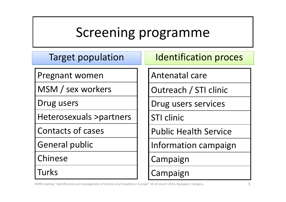# Screening programme Screening programme<br>
Target population Intentification proces<br>
Intentification proces<br>
Antenatal care

Pregnant women

MSM / sex workers

Drug users

Heterosexuals >partners

Contacts of cases

General public

Chinese

**Turks** 

Antenatal care

Outreach / STI clinic

Drug users services

STI clinic

Public Health Service

Information campaign

Campaign

Campaign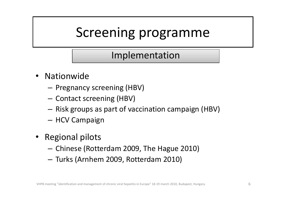#### Implementation

- Nationwide
	- Pregnancy screening (HBV)
	- Contact screening (HBV)
	- Risk groups as part of vaccination campaign (HBV)
	- HCV Campaign
- Regional pilots
	- Chinese (Rotterdam 2009, The Hague 2010)
	- Turks (Arnhem 2009, Rotterdam 2010)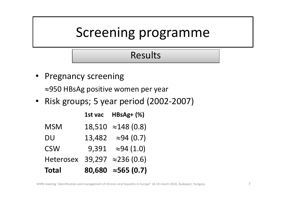#### Results

- **Pregnancy screening**  $\approx$ 950 HBsAg positive women per year
- Risk groups; 5 year period (2002-2007)

| Screening programme                    |                |                                             |  |  |
|----------------------------------------|----------------|---------------------------------------------|--|--|
|                                        | <b>Results</b> |                                             |  |  |
| Pregnancy screening                    |                |                                             |  |  |
|                                        |                | $\approx$ 950 HBsAg positive women per year |  |  |
| Risk groups; 5 year period (2002-2007) |                |                                             |  |  |
|                                        |                | 1st vac $HBSAg+ (%)$                        |  |  |
| <b>MSM</b>                             |                | $18,510 \approx 148(0.8)$                   |  |  |
| <b>DU</b>                              |                | $13,482 \approx 94(0.7)$                    |  |  |
| <b>CSW</b>                             |                | 9,391 $\approx$ 94 (1.0)                    |  |  |
|                                        |                | Heterosex 39,297 $\approx$ 236 (0.6)        |  |  |
| <b>Total</b>                           |                | 80,680 $\approx$ 565 (0.7)                  |  |  |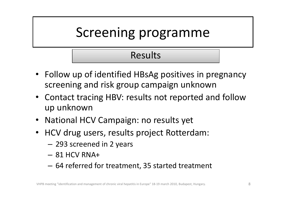#### Results

- Follow up of identified HBsAg positives in pregnancy screening and risk group campaign unknown
- Contact tracing HBV: results not reported and follow up unknown
- National HCV Campaign: no results yet
- HCV drug users, results project Rotterdam:
	- 293 screened in 2 years
	- $-$  81 HCV RNA+
	- 64 referred for treatment, 35 started treatment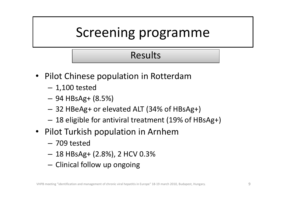#### Results

- Pilot Chinese population in Rotterdam
	- 1,100 tested
	- 94 HBsAg+ (8.5%)
	- 32 HBeAg+ or elevated ALT (34% of HBsAg+)
	- 18 eligible for antiviral treatment (19% of HBsAg+)
- Pilot Turkish population in Arnhem
	- 709 tested
	- 18 HBsAg+ (2.8%), 2 HCV 0.3%
	- Clinical follow up ongoing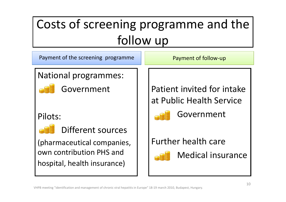# Costs of screening programme and the follow up Costs of screening programme and the<br>
follow up<br>
Payment of the screening programme<br>
National programmes:

National programmes:



Government

Pilots:



Different sources

(pharmaceutical companies, own contribution PHS and hospital, health insurance)

Patient invited for intake at Public Health Service



Government

Further health care

Medical insurance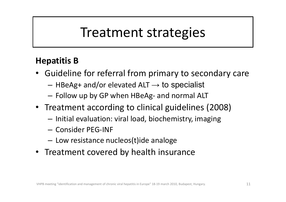# Treatment strategies

#### Hepatitis B

- Guideline for referral from primary to secondary care Treatment strategies<br>
patitis B<br>
patitis B<br>
patitis B<br>
patitis B<br>
patitis B<br>  $-$  HBeAg+ and/or elevated ALT  $\rightarrow$  to specialist<br>  $-$  Follow up by GP when HBeAg- and normal ALT<br>
reatment according to clinical guidelines (20
	- $-$  HBeAg+ and/or elevated ALT  $\rightarrow$  to specialist
	-
- Treatment according to clinical guidelines (2008)
	- Initial evaluation: viral load, biochemistry, imaging
	- Consider PEG-INF
	- Low resistance nucleos(t)ide analoge
- Treatment covered by health insurance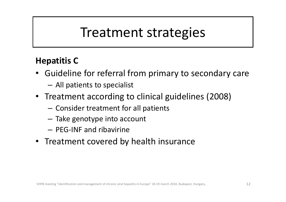# Treatment strategies

#### Hepatitis C

- Guideline for referral from primary to secondary care
	- All patients to specialist
- Treatment according to clinical guidelines (2008)
	- Consider treatment for all patients
	- Take genotype into account
	- PEG-INF and ribavirine
- Treatment covered by health insurance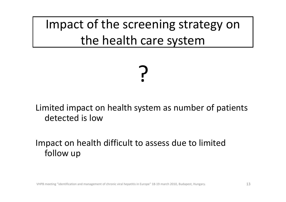Impact of the screening strategy on the health care system

# ?

Limited impact on health system as number of patients detected is low

Impact on health difficult to assess due to limited follow up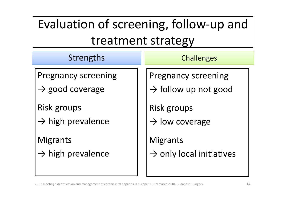# Evaluation of screening, follow-up and treatment strategy

| Evaluation of screening, follow-up and                    |                                                                |  |  |
|-----------------------------------------------------------|----------------------------------------------------------------|--|--|
| treatment strategy                                        |                                                                |  |  |
| Strengths                                                 | <b>Challenges</b>                                              |  |  |
| <b>Pregnancy screening</b><br>$\rightarrow$ good coverage | <b>Pregnancy screening</b><br>$\rightarrow$ follow up not good |  |  |
| <b>Risk groups</b><br>$\rightarrow$ high prevalence       | Risk groups<br>$\rightarrow$ low coverage                      |  |  |
| <b>Migrants</b><br>$\rightarrow$ high prevalence          | <b>Migrants</b><br>$\rightarrow$ only local initiatives        |  |  |

VHPB meeting "identification and management of chronic viral hepatitis in Europe" 18-19 march 2010, Budapest, Hungary. 14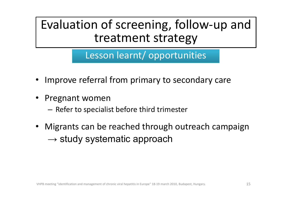### Evaluation of screening, follow-up and treatment strategy

Lesson learnt/ opportunities

- Improve referral from primary to secondary care
- Pregnant women
	- Refer to specialist before third trimester
- Improve referral from primary to secondary care<br>• Pregnant women<br>– Refer to specialist before third trimester<br>• Migrants can be reached through outreach campaign<br>– study systematic approach  $\rightarrow$  study systematic approach